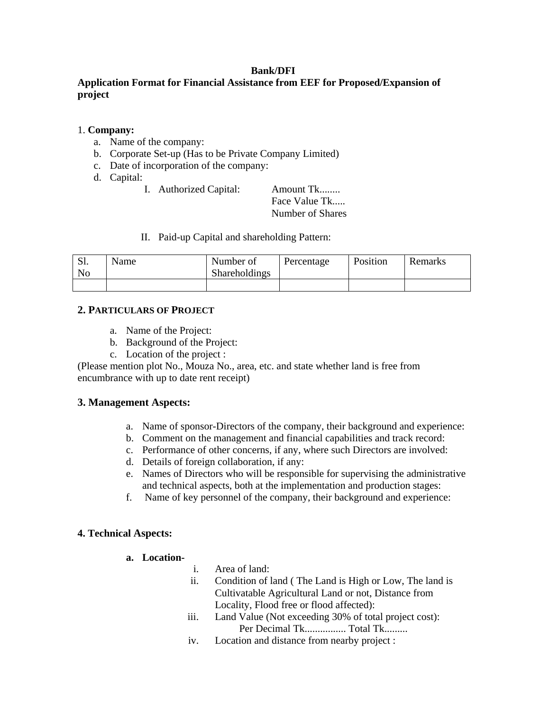### **Bank/DFI**

# **Application Format for Financial Assistance from EEF for Proposed/Expansion of project**

### 1. **Company:**

- a. Name of the company:
- b. Corporate Set-up (Has to be Private Company Limited)
- c. Date of incorporation of the company:
- d. Capital:
	- I. Authorized Capital: Amount Tk........

 Face Value Tk..... Number of Shares

II. Paid-up Capital and shareholding Pattern:

| S1.<br>No | <b>Name</b> | Number of<br><b>Shareholdings</b> | Percentage | Position | Remarks |
|-----------|-------------|-----------------------------------|------------|----------|---------|
|           |             |                                   |            |          |         |

## **2. PARTICULARS OF PROJECT**

- a. Name of the Project:
- b. Background of the Project:
- c. Location of the project :

(Please mention plot No., Mouza No., area, etc. and state whether land is free from encumbrance with up to date rent receipt)

## **3. Management Aspects:**

- a. Name of sponsor-Directors of the company, their background and experience:
- b. Comment on the management and financial capabilities and track record:
- c. Performance of other concerns, if any, where such Directors are involved:
- d. Details of foreign collaboration, if any:
- e. Names of Directors who will be responsible for supervising the administrative and technical aspects, both at the implementation and production stages:
- f. Name of key personnel of the company, their background and experience:

## **4. Technical Aspects:**

#### **a. Location-**

- i. Area of land:
- ii. Condition of land ( The Land is High or Low, The land is Cultivatable Agricultural Land or not, Distance from Locality, Flood free or flood affected):
- iii. Land Value (Not exceeding 30% of total project cost): Per Decimal Tk................ Total Tk.........
- iv. Location and distance from nearby project :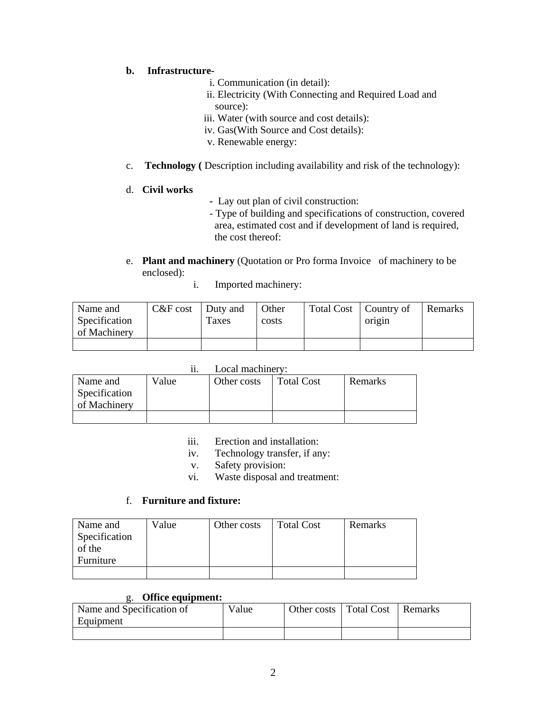## **b. Infrastructure-**

- i. Communication (in detail):
- ii. Electricity (With Connecting and Required Load and source):
- iii. Water (with source and cost details):
- iv. Gas(With Source and Cost details):
- v. Renewable energy:
- c. **Technology (** Description including availability and risk of the technology):

# d. **Civil works**

- Lay out plan of civil construction:
- Type of building and specifications of construction, covered area, estimated cost and if development of land is required, the cost thereof:
- e. **Plant and machinery** (Quotation or Pro forma Invoice of machinery to be enclosed):
	- i. Imported machinery:

| Name and      | $C&F\cos t$ Duty and |       | Other | Total Cost   Country of |        | <b>Remarks</b> |
|---------------|----------------------|-------|-------|-------------------------|--------|----------------|
| Specification |                      | Taxes | costs |                         | origin |                |
| of Machinery  |                      |       |       |                         |        |                |
|               |                      |       |       |                         |        |                |

| Name and                      | Value | Other costs | <b>Total Cost</b> | Remarks |
|-------------------------------|-------|-------------|-------------------|---------|
| Specification<br>of Machinery |       |             |                   |         |
|                               |       |             |                   |         |

# ii. Local machinery:

- iii. Erection and installation:
- iv. Technology transfer, if any:
- v. Safety provision:
- vi. Waste disposal and treatment:

# f. **Furniture and fixture:**

| Name and      | Value | Other costs | <b>Total Cost</b> | Remarks |
|---------------|-------|-------------|-------------------|---------|
| Specification |       |             |                   |         |
| of the        |       |             |                   |         |
| Furniture     |       |             |                   |         |
|               |       |             |                   |         |

## g. **Office equipment:**

| Name and Specification of | Value | Other costs | Total Cost   Remarks |  |
|---------------------------|-------|-------------|----------------------|--|
| Equipment                 |       |             |                      |  |
|                           |       |             |                      |  |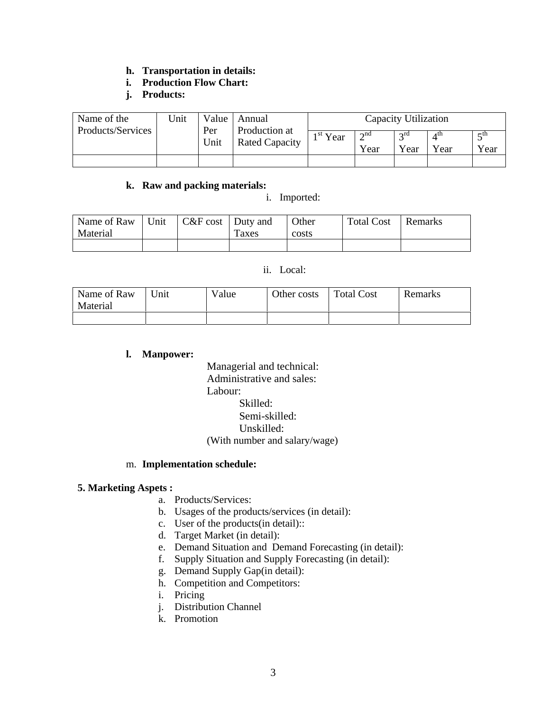# **h. Transportation in details:**

# **i. Production Flow Chart:**

**j. Products:** 

| Name of the<br>Products/Services | Jnit | Value       | Capacity Utilization<br>Annual         |                      |                     |                     |                         |                   |
|----------------------------------|------|-------------|----------------------------------------|----------------------|---------------------|---------------------|-------------------------|-------------------|
|                                  |      | Per<br>Unit | Production at<br><b>Rated Capacity</b> | 1 <sup>st</sup> Year | $\gamma$ nd<br>Year | $\sigma$ rd<br>Year | $4^{\text{th}}$<br>Year | $\leq$ th<br>Year |
|                                  |      |             |                                        |                      |                     |                     |                         |                   |

## **k. Raw and packing materials:**

i. Imported:

| Name of Raw<br>Material | Unit | $C&F\cos t$ Duty and | Taxes | Other<br>costs | <b>Total Cost</b> | Remarks |
|-------------------------|------|----------------------|-------|----------------|-------------------|---------|
|                         |      |                      |       |                |                   |         |

#### ii. Local:

| Name of Raw<br>Material | $^{\mathsf{T}}$ Init | Value | Other costs | Total Cost | Remarks |
|-------------------------|----------------------|-------|-------------|------------|---------|
|                         |                      |       |             |            |         |

#### **l. Manpower:**

 Managerial and technical: Administrative and sales: Labour: Skilled: Semi-skilled: Unskilled: (With number and salary/wage)

## m. **Implementation schedule:**

## **5. Marketing Aspets :**

- a. Products/Services:
- b. Usages of the products/services (in detail):
- c. User of the products(in detail)::
- d. Target Market (in detail):
- e. Demand Situation and Demand Forecasting (in detail):
- f. Supply Situation and Supply Forecasting (in detail):
- g. Demand Supply Gap(in detail):
- h. Competition and Competitors:
- i. Pricing
- j. Distribution Channel
- k. Promotion